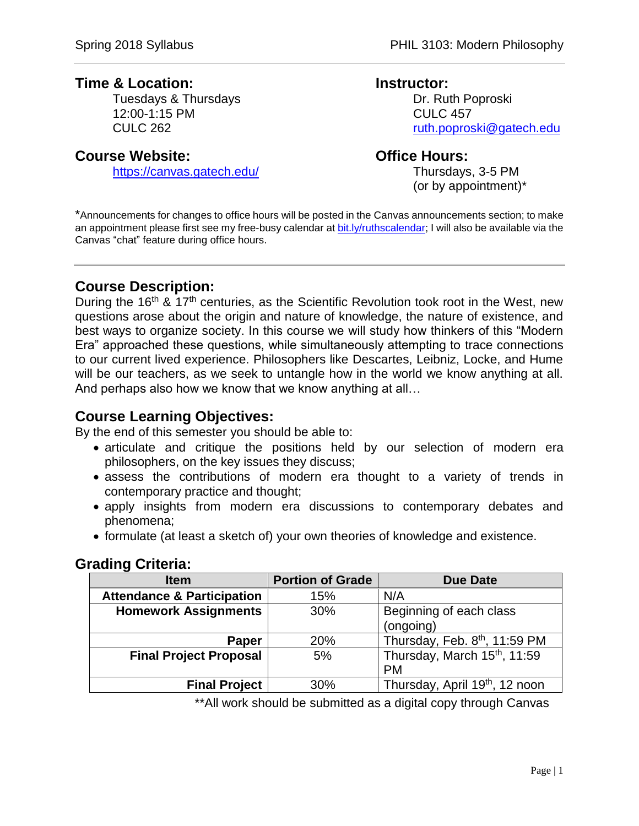# **Time & Location: Instructor:**

Tuesdays & Thursdays **Dr. Ruth Poproski** 12:00-1:15 PM CULC 457

## **Course Website: Course Website: Course Website:**

<https://canvas.gatech.edu/> Thursdays, 3-5 PM

CULC 262 [ruth.poproski@gatech.edu](mailto:ruth.poproski@gatech.edu)

(or by appointment)\*

\*Announcements for changes to office hours will be posted in the Canvas announcements section; to make an appointment please first see my free-busy calendar at [bit.ly/ruthscalendar;](http://bit.ly/ruthscalendar) I will also be available via the Canvas "chat" feature during office hours.

# **Course Description:**

During the 16<sup>th</sup> & 17<sup>th</sup> centuries, as the Scientific Revolution took root in the West, new questions arose about the origin and nature of knowledge, the nature of existence, and best ways to organize society. In this course we will study how thinkers of this "Modern Era" approached these questions, while simultaneously attempting to trace connections to our current lived experience. Philosophers like Descartes, Leibniz, Locke, and Hume will be our teachers, as we seek to untangle how in the world we know anything at all. And perhaps also how we know that we know anything at all…

# **Course Learning Objectives:**

By the end of this semester you should be able to:

- articulate and critique the positions held by our selection of modern era philosophers, on the key issues they discuss;
- assess the contributions of modern era thought to a variety of trends in contemporary practice and thought;
- apply insights from modern era discussions to contemporary debates and phenomena;
- formulate (at least a sketch of) your own theories of knowledge and existence.

## **Grading Criteria:**

| <b>Item</b>                           | <b>Portion of Grade</b> | <b>Due Date</b>                            |
|---------------------------------------|-------------------------|--------------------------------------------|
| <b>Attendance &amp; Participation</b> | 15%                     | N/A                                        |
| <b>Homework Assignments</b>           | 30%                     | Beginning of each class                    |
|                                       |                         | (ongoing)                                  |
| Paper                                 | 20%                     | Thursday, Feb. 8th, 11:59 PM               |
| <b>Final Project Proposal</b>         | 5%                      | Thursday, March 15 <sup>th</sup> , 11:59   |
|                                       |                         | <b>PM</b>                                  |
| <b>Final Project</b>                  | 30%                     | Thursday, April 19 <sup>th</sup> , 12 noon |

\*\*All work should be submitted as a digital copy through Canvas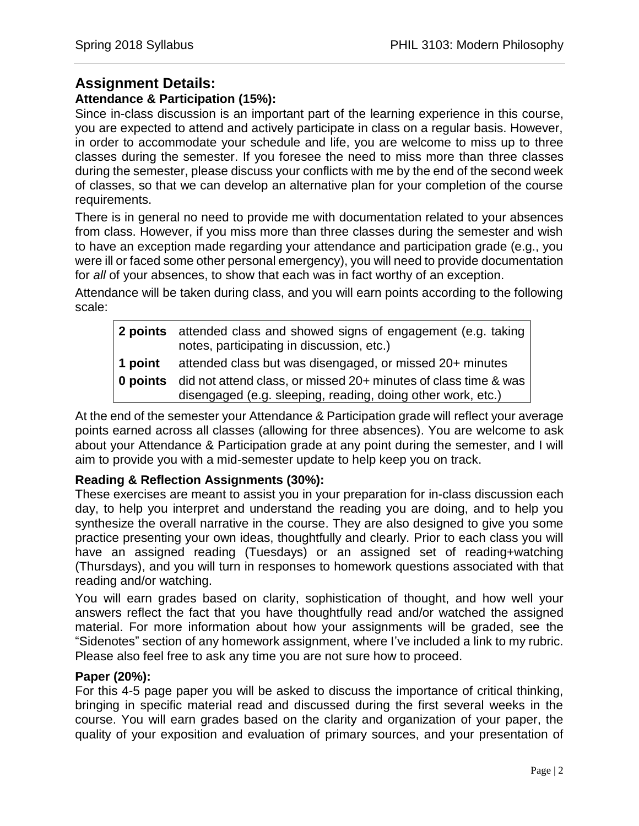# **Assignment Details:**

### **Attendance & Participation (15%):**

Since in-class discussion is an important part of the learning experience in this course, you are expected to attend and actively participate in class on a regular basis. However, in order to accommodate your schedule and life, you are welcome to miss up to three classes during the semester. If you foresee the need to miss more than three classes during the semester, please discuss your conflicts with me by the end of the second week of classes, so that we can develop an alternative plan for your completion of the course requirements.

There is in general no need to provide me with documentation related to your absences from class. However, if you miss more than three classes during the semester and wish to have an exception made regarding your attendance and participation grade (e.g., you were ill or faced some other personal emergency), you will need to provide documentation for *all* of your absences, to show that each was in fact worthy of an exception.

Attendance will be taken during class, and you will earn points according to the following scale:

|                     | 2 points attended class and showed signs of engagement (e.g. taking<br>notes, participating in discussion, etc.)                                                                           |
|---------------------|--------------------------------------------------------------------------------------------------------------------------------------------------------------------------------------------|
| 1 point<br>0 points | attended class but was disengaged, or missed 20+ minutes<br>did not attend class, or missed 20+ minutes of class time & was<br>disengaged (e.g. sleeping, reading, doing other work, etc.) |

At the end of the semester your Attendance & Participation grade will reflect your average points earned across all classes (allowing for three absences). You are welcome to ask about your Attendance & Participation grade at any point during the semester, and I will aim to provide you with a mid-semester update to help keep you on track.

#### **Reading & Reflection Assignments (30%):**

These exercises are meant to assist you in your preparation for in-class discussion each day, to help you interpret and understand the reading you are doing, and to help you synthesize the overall narrative in the course. They are also designed to give you some practice presenting your own ideas, thoughtfully and clearly. Prior to each class you will have an assigned reading (Tuesdays) or an assigned set of reading+watching (Thursdays), and you will turn in responses to homework questions associated with that reading and/or watching.

You will earn grades based on clarity, sophistication of thought, and how well your answers reflect the fact that you have thoughtfully read and/or watched the assigned material. For more information about how your assignments will be graded, see the "Sidenotes" section of any homework assignment, where I've included a link to my rubric. Please also feel free to ask any time you are not sure how to proceed.

#### **Paper (20%):**

For this 4-5 page paper you will be asked to discuss the importance of critical thinking, bringing in specific material read and discussed during the first several weeks in the course. You will earn grades based on the clarity and organization of your paper, the quality of your exposition and evaluation of primary sources, and your presentation of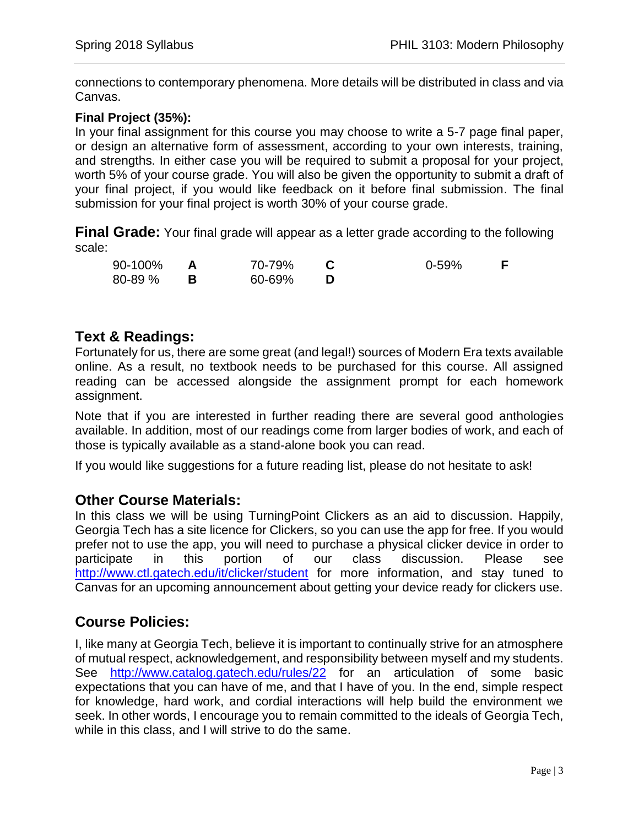connections to contemporary phenomena. More details will be distributed in class and via Canvas.

### **Final Project (35%):**

In your final assignment for this course you may choose to write a 5-7 page final paper, or design an alternative form of assessment, according to your own interests, training, and strengths. In either case you will be required to submit a proposal for your project, worth 5% of your course grade. You will also be given the opportunity to submit a draft of your final project, if you would like feedback on it before final submission. The final submission for your final project is worth 30% of your course grade.

**Final Grade:** Your final grade will appear as a letter grade according to the following scale:

| 90-100% | 70-79% | $0 - 59%$ |  |
|---------|--------|-----------|--|
| 80-89 % | 60-69% |           |  |

# **Text & Readings:**

Fortunately for us, there are some great (and legal!) sources of Modern Era texts available online. As a result, no textbook needs to be purchased for this course. All assigned reading can be accessed alongside the assignment prompt for each homework assignment.

Note that if you are interested in further reading there are several good anthologies available. In addition, most of our readings come from larger bodies of work, and each of those is typically available as a stand-alone book you can read.

If you would like suggestions for a future reading list, please do not hesitate to ask!

## **Other Course Materials:**

In this class we will be using TurningPoint Clickers as an aid to discussion. Happily, Georgia Tech has a site licence for Clickers, so you can use the app for free. If you would prefer not to use the app, you will need to purchase a physical clicker device in order to participate in this portion of our class discussion. Please see <http://www.ctl.gatech.edu/it/clicker/student> for more information, and stay tuned to Canvas for an upcoming announcement about getting your device ready for clickers use.

# **Course Policies:**

I, like many at Georgia Tech, believe it is important to continually strive for an atmosphere of mutual respect, acknowledgement, and responsibility between myself and my students. See <http://www.catalog.gatech.edu/rules/22> for an articulation of some basic expectations that you can have of me, and that I have of you. In the end, simple respect for knowledge, hard work, and cordial interactions will help build the environment we seek. In other words, I encourage you to remain committed to the ideals of Georgia Tech, while in this class, and I will strive to do the same.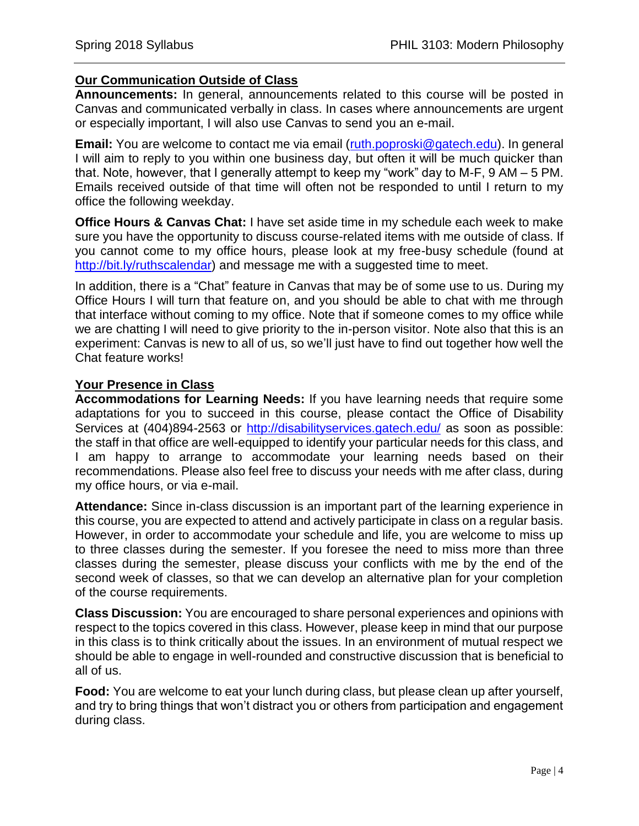#### **Our Communication Outside of Class**

**Announcements:** In general, announcements related to this course will be posted in Canvas and communicated verbally in class. In cases where announcements are urgent or especially important, I will also use Canvas to send you an e-mail.

**Email:** You are welcome to contact me via email [\(ruth.poproski@gatech.edu\)](mailto:ruth.poproski@gatech.edu). In general I will aim to reply to you within one business day, but often it will be much quicker than that. Note, however, that I generally attempt to keep my "work" day to M-F, 9 AM – 5 PM. Emails received outside of that time will often not be responded to until I return to my office the following weekday.

**Office Hours & Canvas Chat:** I have set aside time in my schedule each week to make sure you have the opportunity to discuss course-related items with me outside of class. If you cannot come to my office hours, please look at my free-busy schedule (found at [http://bit.ly/ruthscalendar\)](http://bit.ly/ruthscalendar) and message me with a suggested time to meet.

In addition, there is a "Chat" feature in Canvas that may be of some use to us. During my Office Hours I will turn that feature on, and you should be able to chat with me through that interface without coming to my office. Note that if someone comes to my office while we are chatting I will need to give priority to the in-person visitor. Note also that this is an experiment: Canvas is new to all of us, so we'll just have to find out together how well the Chat feature works!

#### **Your Presence in Class**

**Accommodations for Learning Needs:** If you have learning needs that require some adaptations for you to succeed in this course, please contact the Office of Disability Services at (404)894-2563 or<http://disabilityservices.gatech.edu/> as soon as possible: the staff in that office are well-equipped to identify your particular needs for this class, and I am happy to arrange to accommodate your learning needs based on their recommendations. Please also feel free to discuss your needs with me after class, during my office hours, or via e-mail.

**Attendance:** Since in-class discussion is an important part of the learning experience in this course, you are expected to attend and actively participate in class on a regular basis. However, in order to accommodate your schedule and life, you are welcome to miss up to three classes during the semester. If you foresee the need to miss more than three classes during the semester, please discuss your conflicts with me by the end of the second week of classes, so that we can develop an alternative plan for your completion of the course requirements.

**Class Discussion:** You are encouraged to share personal experiences and opinions with respect to the topics covered in this class. However, please keep in mind that our purpose in this class is to think critically about the issues. In an environment of mutual respect we should be able to engage in well-rounded and constructive discussion that is beneficial to all of us.

**Food:** You are welcome to eat your lunch during class, but please clean up after yourself, and try to bring things that won't distract you or others from participation and engagement during class.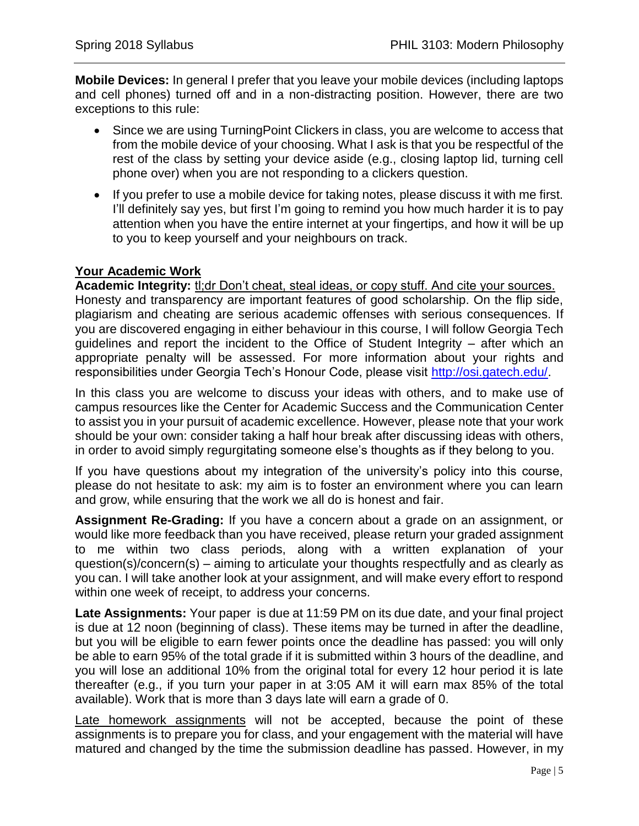**Mobile Devices:** In general I prefer that you leave your mobile devices (including laptops and cell phones) turned off and in a non-distracting position. However, there are two exceptions to this rule:

- Since we are using TurningPoint Clickers in class, you are welcome to access that from the mobile device of your choosing. What I ask is that you be respectful of the rest of the class by setting your device aside (e.g., closing laptop lid, turning cell phone over) when you are not responding to a clickers question.
- If you prefer to use a mobile device for taking notes, please discuss it with me first. I'll definitely say yes, but first I'm going to remind you how much harder it is to pay attention when you have the entire internet at your fingertips, and how it will be up to you to keep yourself and your neighbours on track.

## **Your Academic Work**

**Academic Integrity:** tl;dr Don't cheat, steal ideas, or copy stuff. And cite your sources. Honesty and transparency are important features of good scholarship. On the flip side, plagiarism and cheating are serious academic offenses with serious consequences. If you are discovered engaging in either behaviour in this course, I will follow Georgia Tech guidelines and report the incident to the Office of Student Integrity – after which an appropriate penalty will be assessed. For more information about your rights and responsibilities under Georgia Tech's Honour Code, please visit [http://osi.gatech.edu/.](http://osi.gatech.edu/)

In this class you are welcome to discuss your ideas with others, and to make use of campus resources like the Center for Academic Success and the Communication Center to assist you in your pursuit of academic excellence. However, please note that your work should be your own: consider taking a half hour break after discussing ideas with others, in order to avoid simply regurgitating someone else's thoughts as if they belong to you.

If you have questions about my integration of the university's policy into this course, please do not hesitate to ask: my aim is to foster an environment where you can learn and grow, while ensuring that the work we all do is honest and fair.

**Assignment Re-Grading:** If you have a concern about a grade on an assignment, or would like more feedback than you have received, please return your graded assignment to me within two class periods, along with a written explanation of your question(s)/concern(s) – aiming to articulate your thoughts respectfully and as clearly as you can. I will take another look at your assignment, and will make every effort to respond within one week of receipt, to address your concerns.

**Late Assignments:** Your paper is due at 11:59 PM on its due date, and your final project is due at 12 noon (beginning of class). These items may be turned in after the deadline, but you will be eligible to earn fewer points once the deadline has passed: you will only be able to earn 95% of the total grade if it is submitted within 3 hours of the deadline, and you will lose an additional 10% from the original total for every 12 hour period it is late thereafter (e.g., if you turn your paper in at 3:05 AM it will earn max 85% of the total available). Work that is more than 3 days late will earn a grade of 0.

Late homework assignments will not be accepted, because the point of these assignments is to prepare you for class, and your engagement with the material will have matured and changed by the time the submission deadline has passed. However, in my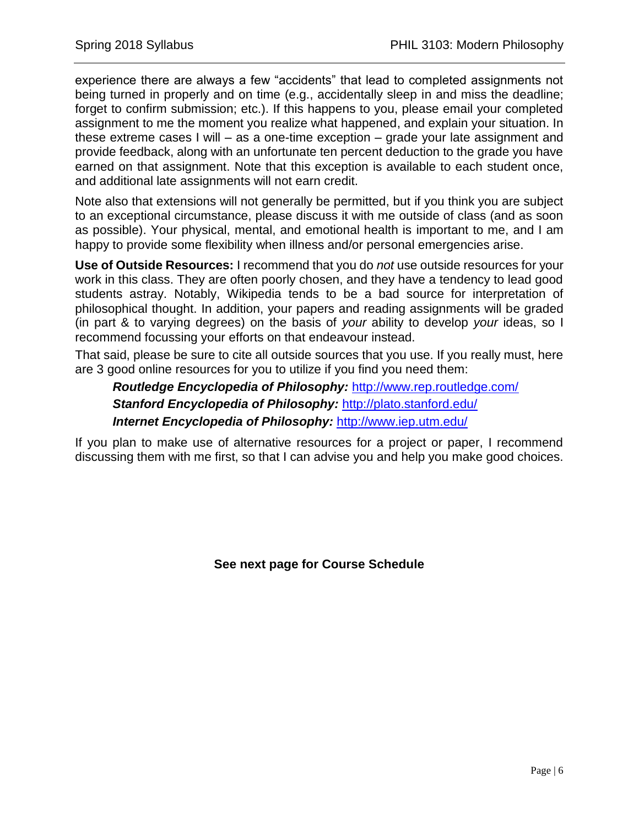experience there are always a few "accidents" that lead to completed assignments not being turned in properly and on time (e.g., accidentally sleep in and miss the deadline; forget to confirm submission; etc.). If this happens to you, please email your completed assignment to me the moment you realize what happened, and explain your situation. In these extreme cases I will – as a one-time exception – grade your late assignment and provide feedback, along with an unfortunate ten percent deduction to the grade you have earned on that assignment. Note that this exception is available to each student once, and additional late assignments will not earn credit.

Note also that extensions will not generally be permitted, but if you think you are subject to an exceptional circumstance, please discuss it with me outside of class (and as soon as possible). Your physical, mental, and emotional health is important to me, and I am happy to provide some flexibility when illness and/or personal emergencies arise.

**Use of Outside Resources:** I recommend that you do *not* use outside resources for your work in this class. They are often poorly chosen, and they have a tendency to lead good students astray. Notably, Wikipedia tends to be a bad source for interpretation of philosophical thought. In addition, your papers and reading assignments will be graded (in part & to varying degrees) on the basis of *your* ability to develop *your* ideas, so I recommend focussing your efforts on that endeavour instead.

That said, please be sure to cite all outside sources that you use. If you really must, here are 3 good online resources for you to utilize if you find you need them:

*Routledge Encyclopedia of Philosophy:* <http://www.rep.routledge.com/> *Stanford Encyclopedia of Philosophy:* <http://plato.stanford.edu/> *Internet Encyclopedia of Philosophy:* <http://www.iep.utm.edu/>

If you plan to make use of alternative resources for a project or paper, I recommend discussing them with me first, so that I can advise you and help you make good choices.

**See next page for Course Schedule**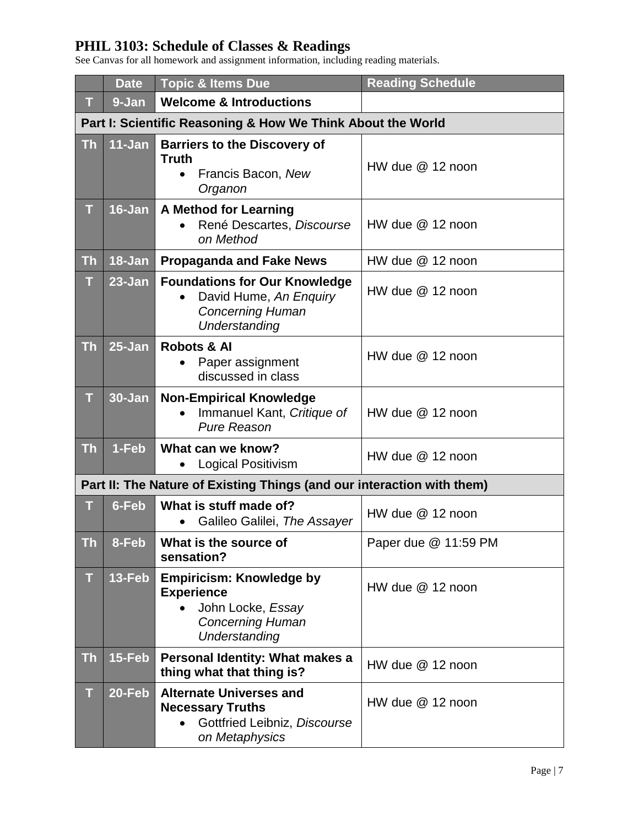# **PHIL 3103: Schedule of Classes & Readings**

See Canvas for all homework and assignment information, including reading materials.

|           | <b>Date</b> | <b>Topic &amp; Items Due</b>                                                                                            | <b>Reading Schedule</b> |
|-----------|-------------|-------------------------------------------------------------------------------------------------------------------------|-------------------------|
| т         | 9-Jan       | <b>Welcome &amp; Introductions</b>                                                                                      |                         |
|           |             | Part I: Scientific Reasoning & How We Think About the World                                                             |                         |
| <b>Th</b> | 11-Jan      | <b>Barriers to the Discovery of</b><br><b>Truth</b><br>Francis Bacon, New<br>$\bullet$<br>Organon                       | $HW$ due $@$ 12 noon    |
| T         | $16 - Jan$  | <b>A Method for Learning</b><br>René Descartes, Discourse<br>on Method                                                  | HW due $@$ 12 noon      |
| <b>Th</b> | $18 - Jan$  | <b>Propaganda and Fake News</b>                                                                                         | HW due $@$ 12 noon      |
| T         | $23 - Jan$  | <b>Foundations for Our Knowledge</b><br>David Hume, An Enquiry<br>$\bullet$<br><b>Concerning Human</b><br>Understanding | HW due $@$ 12 noon      |
| <b>Th</b> | $25 - Jan$  | <b>Robots &amp; Al</b><br>Paper assignment<br>discussed in class                                                        | HW due $@$ 12 noon      |
| T         | $30 - Jan$  | <b>Non-Empirical Knowledge</b><br>Immanuel Kant, Critique of<br><b>Pure Reason</b>                                      | HW due @ 12 noon        |
| <b>Th</b> | $1-Feb$     | What can we know?<br><b>Logical Positivism</b><br>$\bullet$                                                             | HW due $@$ 12 noon      |
|           |             | Part II: The Nature of Existing Things (and our interaction with them)                                                  |                         |
| т         | 6-Feb       | What is stuff made of?<br>Galileo Galilei, The Assayer                                                                  | HW due @ 12 noon        |
| Th        | 8-Feb       | What is the source of<br>sensation?                                                                                     | Paper due @ 11:59 PM    |
| т         | 13-Feb      | <b>Empiricism: Knowledge by</b><br><b>Experience</b><br>John Locke, Essay<br><b>Concerning Human</b><br>Understanding   | HW due @ 12 noon        |
| <b>Th</b> | 15-Feb      | Personal Identity: What makes a<br>thing what that thing is?                                                            | HW due $@$ 12 noon      |
| T         | 20-Feb      | <b>Alternate Universes and</b><br><b>Necessary Truths</b><br>Gottfried Leibniz, Discourse<br>on Metaphysics             | HW due $@$ 12 noon      |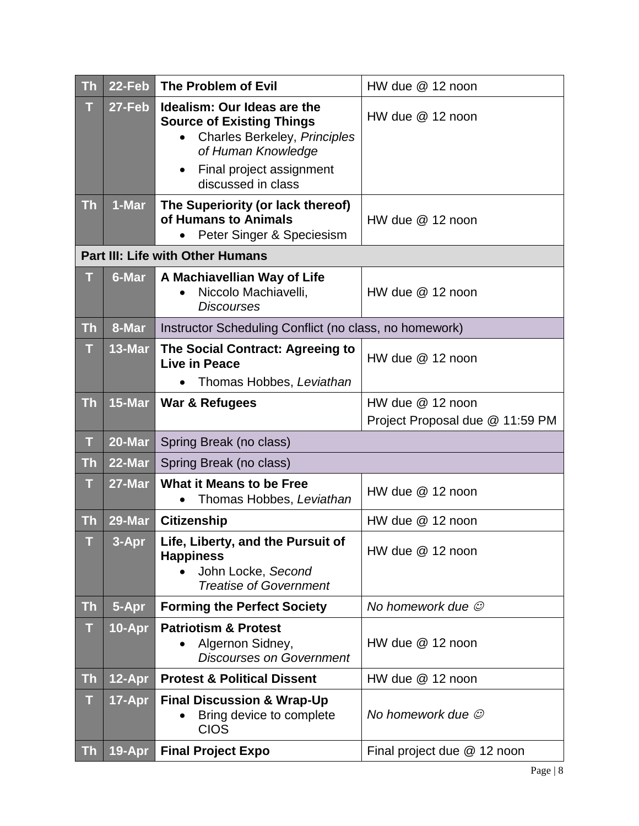| <b>Th</b> | 22-Feb     | The Problem of Evil                                                                                                                               | $HW$ due $@$ 12 noon            |  |
|-----------|------------|---------------------------------------------------------------------------------------------------------------------------------------------------|---------------------------------|--|
| T         | 27-Feb     | Idealism: Our Ideas are the<br><b>Source of Existing Things</b><br>Charles Berkeley, Principles<br>of Human Knowledge<br>Final project assignment | HW due $@$ 12 noon              |  |
|           |            | discussed in class                                                                                                                                |                                 |  |
| <b>Th</b> | 1-Mar      | The Superiority (or lack thereof)<br>of Humans to Animals<br>Peter Singer & Speciesism                                                            | $HW$ due $@$ 12 noon            |  |
|           |            | <b>Part III: Life with Other Humans</b>                                                                                                           |                                 |  |
| т         | 6-Mar      | A Machiavellian Way of Life<br>Niccolo Machiavelli,<br><b>Discourses</b>                                                                          | HW due $@$ 12 noon              |  |
| <b>Th</b> | 8-Mar      | Instructor Scheduling Conflict (no class, no homework)                                                                                            |                                 |  |
| T         | 13-Mar     | The Social Contract: Agreeing to<br>Live in Peace                                                                                                 | HW due $@$ 12 noon              |  |
|           |            | Thomas Hobbes, Leviathan                                                                                                                          |                                 |  |
| <b>Th</b> | 15-Mar     | War & Refugees                                                                                                                                    | HW due $@12$ noon               |  |
|           |            |                                                                                                                                                   | Project Proposal due @ 11:59 PM |  |
| T         | 20-Mar     | Spring Break (no class)                                                                                                                           |                                 |  |
| <b>Th</b> | 22-Mar     | Spring Break (no class)                                                                                                                           |                                 |  |
| T         | 27-Mar     | <b>What it Means to be Free</b><br>Thomas Hobbes, Leviathan                                                                                       | HW due $@$ 12 noon              |  |
| <b>Th</b> | 29-Mar     | <b>Citizenship</b>                                                                                                                                | $HW$ due $@$ 12 noon            |  |
| T         | 3-Apr      | Life, Liberty, and the Pursuit of<br><b>Happiness</b><br>John Locke, Second<br><b>Treatise of Government</b>                                      | $HW$ due $@$ 12 noon            |  |
| <b>Th</b> | 5-Apr      | <b>Forming the Perfect Society</b>                                                                                                                | No homework due $\mathcal O$    |  |
| T         | $10 - Apr$ | <b>Patriotism &amp; Protest</b><br>Algernon Sidney,<br><b>Discourses on Government</b>                                                            | HW due $@$ 12 noon              |  |
| <b>Th</b> | 12-Apr     | <b>Protest &amp; Political Dissent</b>                                                                                                            | HW due @ 12 noon                |  |
| T         | 17-Apr     | <b>Final Discussion &amp; Wrap-Up</b><br>Bring device to complete<br><b>CIOS</b>                                                                  | No homework due $\mathcal O$    |  |
| <b>Th</b> | $19 - Apr$ | <b>Final Project Expo</b>                                                                                                                         | Final project due @ 12 noon     |  |